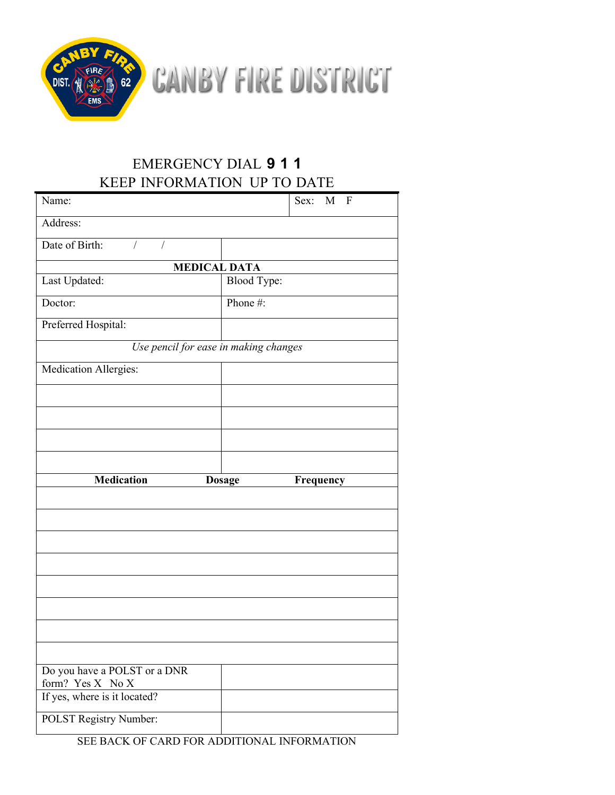

CANBY FIRE DISTRICT

## EMERGENCY DIAL **9 1 1** KEEP INFORMATION UP TO DATE

| Name:                                            | Sex: M F                   |
|--------------------------------------------------|----------------------------|
| Address:                                         |                            |
| Date of Birth:<br>$\sqrt{2}$<br>$\sqrt{2}$       |                            |
| <b>MEDICAL DATA</b>                              |                            |
| Last Updated:                                    | <b>Blood Type:</b>         |
| Doctor:                                          | Phone#:                    |
| Preferred Hospital:                              |                            |
| Use pencil for ease in making changes            |                            |
| Medication Allergies:                            |                            |
|                                                  |                            |
|                                                  |                            |
|                                                  |                            |
|                                                  |                            |
|                                                  |                            |
| <b>Medication</b>                                | <b>Dosage</b><br>Frequency |
|                                                  |                            |
|                                                  |                            |
|                                                  |                            |
|                                                  |                            |
|                                                  |                            |
|                                                  |                            |
|                                                  |                            |
|                                                  |                            |
| Do you have a POLST or a DNR                     |                            |
| form? Yes X No X<br>If yes, where is it located? |                            |

SEE BACK OF CARD FOR ADDITIONAL INFORMATION